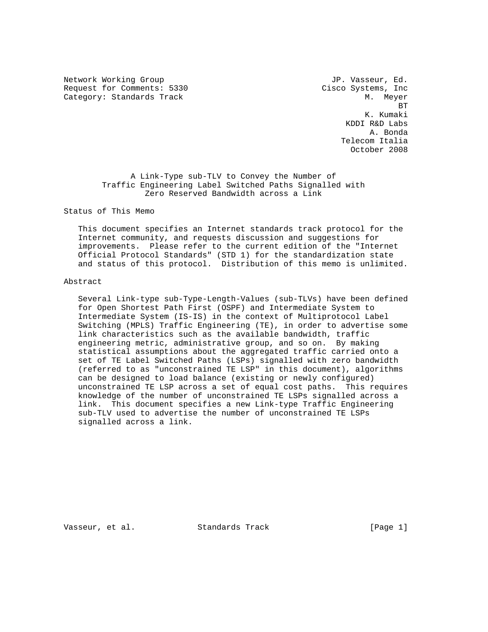Network Working Group and Month of the U.S. of the U.S. of the U.S. of the U.S. of the U.S. of the U.S. of the U.S. of the U.S. of the U.S. of the U.S. of the U.S. of the U.S. of the U.S. of the U.S. of the U.S. of the U.S Request for Comments: 5330 Cisco Systems, Inc Category: Standards Track M. Meyer M. Meyer

**BT** STATE STATE STATE STATE STATE STATE STATE STATE STATE STATE STATE STATE STATE STATE STATE STATE STATE STATE STATE STATE STATE STATE STATE STATE STATE STATE STATE STATE STATE STATE STATE STATE STATE STATE STATE STATE S K. Kumaki KDDI R&D Labs A. Bonda Telecom Italia October 2008

> A Link-Type sub-TLV to Convey the Number of Traffic Engineering Label Switched Paths Signalled with Zero Reserved Bandwidth across a Link

Status of This Memo

 This document specifies an Internet standards track protocol for the Internet community, and requests discussion and suggestions for improvements. Please refer to the current edition of the "Internet Official Protocol Standards" (STD 1) for the standardization state and status of this protocol. Distribution of this memo is unlimited.

## Abstract

 Several Link-type sub-Type-Length-Values (sub-TLVs) have been defined for Open Shortest Path First (OSPF) and Intermediate System to Intermediate System (IS-IS) in the context of Multiprotocol Label Switching (MPLS) Traffic Engineering (TE), in order to advertise some link characteristics such as the available bandwidth, traffic engineering metric, administrative group, and so on. By making statistical assumptions about the aggregated traffic carried onto a set of TE Label Switched Paths (LSPs) signalled with zero bandwidth (referred to as "unconstrained TE LSP" in this document), algorithms can be designed to load balance (existing or newly configured) unconstrained TE LSP across a set of equal cost paths. This requires knowledge of the number of unconstrained TE LSPs signalled across a link. This document specifies a new Link-type Traffic Engineering sub-TLV used to advertise the number of unconstrained TE LSPs signalled across a link.

Vasseur, et al. Standards Track [Page 1]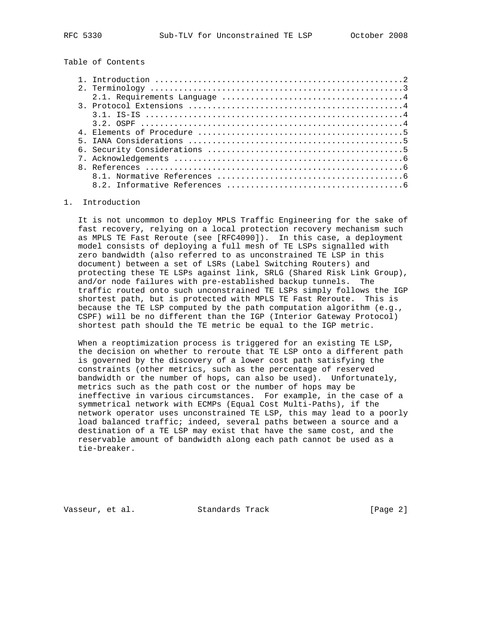Table of Contents

| Introduction $\ldots \ldots \ldots \ldots \ldots \ldots \ldots \ldots \ldots \ldots \ldots \ldots$ |
|----------------------------------------------------------------------------------------------------|
|                                                                                                    |
|                                                                                                    |
|                                                                                                    |
|                                                                                                    |
|                                                                                                    |
|                                                                                                    |
|                                                                                                    |
|                                                                                                    |
|                                                                                                    |
|                                                                                                    |
|                                                                                                    |
|                                                                                                    |
|                                                                                                    |

## 1. Introduction

 It is not uncommon to deploy MPLS Traffic Engineering for the sake of fast recovery, relying on a local protection recovery mechanism such as MPLS TE Fast Reroute (see [RFC4090]). In this case, a deployment model consists of deploying a full mesh of TE LSPs signalled with zero bandwidth (also referred to as unconstrained TE LSP in this document) between a set of LSRs (Label Switching Routers) and protecting these TE LSPs against link, SRLG (Shared Risk Link Group), and/or node failures with pre-established backup tunnels. The traffic routed onto such unconstrained TE LSPs simply follows the IGP shortest path, but is protected with MPLS TE Fast Reroute. This is because the TE LSP computed by the path computation algorithm (e.g., CSPF) will be no different than the IGP (Interior Gateway Protocol) shortest path should the TE metric be equal to the IGP metric.

 When a reoptimization process is triggered for an existing TE LSP, the decision on whether to reroute that TE LSP onto a different path is governed by the discovery of a lower cost path satisfying the constraints (other metrics, such as the percentage of reserved bandwidth or the number of hops, can also be used). Unfortunately, metrics such as the path cost or the number of hops may be ineffective in various circumstances. For example, in the case of a symmetrical network with ECMPs (Equal Cost Multi-Paths), if the network operator uses unconstrained TE LSP, this may lead to a poorly load balanced traffic; indeed, several paths between a source and a destination of a TE LSP may exist that have the same cost, and the reservable amount of bandwidth along each path cannot be used as a tie-breaker.

Vasseur, et al. Standards Track [Page 2]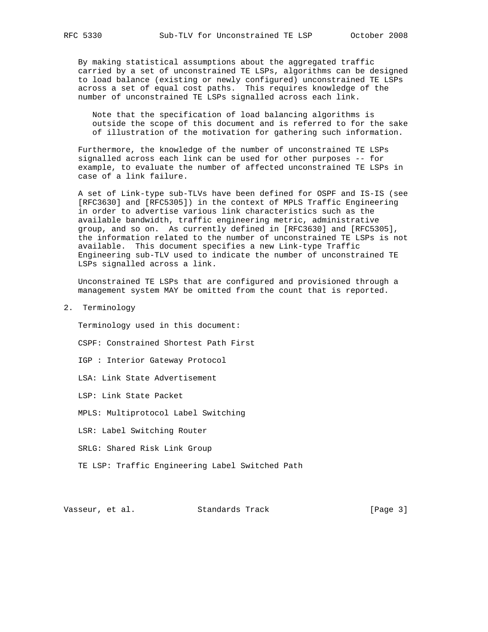By making statistical assumptions about the aggregated traffic carried by a set of unconstrained TE LSPs, algorithms can be designed to load balance (existing or newly configured) unconstrained TE LSPs across a set of equal cost paths. This requires knowledge of the number of unconstrained TE LSPs signalled across each link.

 Note that the specification of load balancing algorithms is outside the scope of this document and is referred to for the sake of illustration of the motivation for gathering such information.

 Furthermore, the knowledge of the number of unconstrained TE LSPs signalled across each link can be used for other purposes -- for example, to evaluate the number of affected unconstrained TE LSPs in case of a link failure.

 A set of Link-type sub-TLVs have been defined for OSPF and IS-IS (see [RFC3630] and [RFC5305]) in the context of MPLS Traffic Engineering in order to advertise various link characteristics such as the available bandwidth, traffic engineering metric, administrative group, and so on. As currently defined in [RFC3630] and [RFC5305], the information related to the number of unconstrained TE LSPs is not available. This document specifies a new Link-type Traffic Engineering sub-TLV used to indicate the number of unconstrained TE LSPs signalled across a link.

 Unconstrained TE LSPs that are configured and provisioned through a management system MAY be omitted from the count that is reported.

2. Terminology

Terminology used in this document:

- CSPF: Constrained Shortest Path First
- IGP : Interior Gateway Protocol
- LSA: Link State Advertisement
- LSP: Link State Packet
- MPLS: Multiprotocol Label Switching
- LSR: Label Switching Router
- SRLG: Shared Risk Link Group
- TE LSP: Traffic Engineering Label Switched Path

Vasseur, et al. Standards Track [Page 3]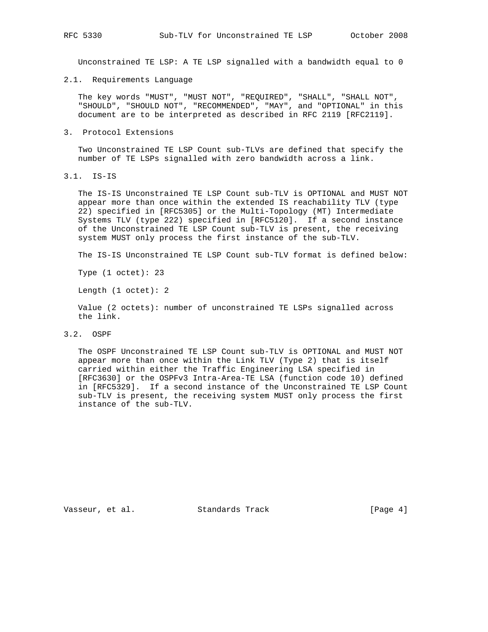Unconstrained TE LSP: A TE LSP signalled with a bandwidth equal to 0

2.1. Requirements Language

 The key words "MUST", "MUST NOT", "REQUIRED", "SHALL", "SHALL NOT", "SHOULD", "SHOULD NOT", "RECOMMENDED", "MAY", and "OPTIONAL" in this document are to be interpreted as described in RFC 2119 [RFC2119].

3. Protocol Extensions

 Two Unconstrained TE LSP Count sub-TLVs are defined that specify the number of TE LSPs signalled with zero bandwidth across a link.

3.1. IS-IS

 The IS-IS Unconstrained TE LSP Count sub-TLV is OPTIONAL and MUST NOT appear more than once within the extended IS reachability TLV (type 22) specified in [RFC5305] or the Multi-Topology (MT) Intermediate Systems TLV (type 222) specified in [RFC5120]. If a second instance of the Unconstrained TE LSP Count sub-TLV is present, the receiving system MUST only process the first instance of the sub-TLV.

The IS-IS Unconstrained TE LSP Count sub-TLV format is defined below:

Type (1 octet): 23

Length (1 octet): 2

 Value (2 octets): number of unconstrained TE LSPs signalled across the link.

3.2. OSPF

 The OSPF Unconstrained TE LSP Count sub-TLV is OPTIONAL and MUST NOT appear more than once within the Link TLV (Type 2) that is itself carried within either the Traffic Engineering LSA specified in [RFC3630] or the OSPFv3 Intra-Area-TE LSA (function code 10) defined in [RFC5329]. If a second instance of the Unconstrained TE LSP Count sub-TLV is present, the receiving system MUST only process the first instance of the sub-TLV.

Vasseur, et al. Standards Track [Page 4]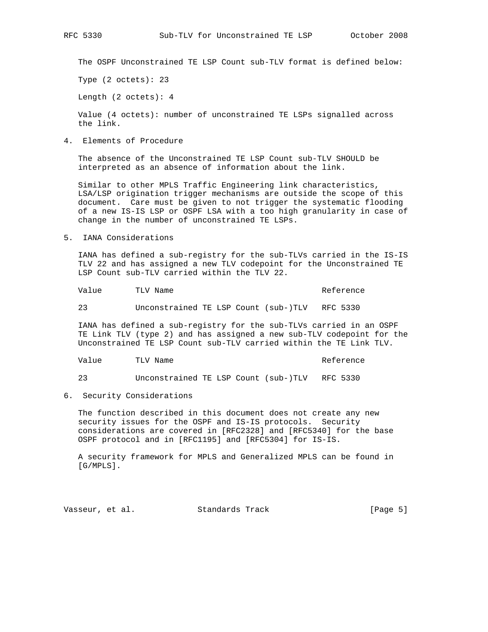The OSPF Unconstrained TE LSP Count sub-TLV format is defined below:

Type (2 octets): 23

Length (2 octets): 4

 Value (4 octets): number of unconstrained TE LSPs signalled across the link.

4. Elements of Procedure

 The absence of the Unconstrained TE LSP Count sub-TLV SHOULD be interpreted as an absence of information about the link.

 Similar to other MPLS Traffic Engineering link characteristics, LSA/LSP origination trigger mechanisms are outside the scope of this document. Care must be given to not trigger the systematic flooding of a new IS-IS LSP or OSPF LSA with a too high granularity in case of change in the number of unconstrained TE LSPs.

5. IANA Considerations

 IANA has defined a sub-registry for the sub-TLVs carried in the IS-IS TLV 22 and has assigned a new TLV codepoint for the Unconstrained TE LSP Count sub-TLV carried within the TLV 22.

Value TLV Name TLV Name TLV Name Reference

23 Unconstrained TE LSP Count (sub-)TLV RFC 5330

 IANA has defined a sub-registry for the sub-TLVs carried in an OSPF TE Link TLV (type 2) and has assigned a new sub-TLV codepoint for the Unconstrained TE LSP Count sub-TLV carried within the TE Link TLV.

| $ -$<br>TLV Na<br>Name<br>Value<br>_____ | Reference<br>. |
|------------------------------------------|----------------|
|------------------------------------------|----------------|

23 Unconstrained TE LSP Count (sub-)TLV RFC 5330

6. Security Considerations

 The function described in this document does not create any new security issues for the OSPF and IS-IS protocols. Security considerations are covered in [RFC2328] and [RFC5340] for the base OSPF protocol and in [RFC1195] and [RFC5304] for IS-IS.

 A security framework for MPLS and Generalized MPLS can be found in [G/MPLS].

Vasseur, et al. Standards Track [Page 5]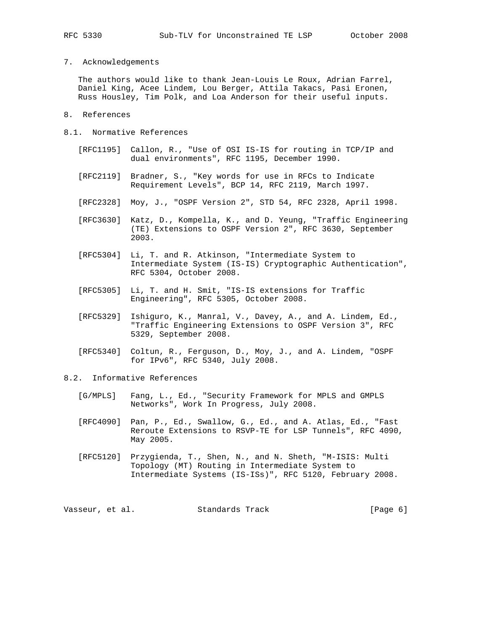7. Acknowledgements

 The authors would like to thank Jean-Louis Le Roux, Adrian Farrel, Daniel King, Acee Lindem, Lou Berger, Attila Takacs, Pasi Eronen, Russ Housley, Tim Polk, and Loa Anderson for their useful inputs.

- 8. References
- 8.1. Normative References
	- [RFC1195] Callon, R., "Use of OSI IS-IS for routing in TCP/IP and dual environments", RFC 1195, December 1990.
	- [RFC2119] Bradner, S., "Key words for use in RFCs to Indicate Requirement Levels", BCP 14, RFC 2119, March 1997.
	- [RFC2328] Moy, J., "OSPF Version 2", STD 54, RFC 2328, April 1998.
	- [RFC3630] Katz, D., Kompella, K., and D. Yeung, "Traffic Engineering (TE) Extensions to OSPF Version 2", RFC 3630, September 2003.
	- [RFC5304] Li, T. and R. Atkinson, "Intermediate System to Intermediate System (IS-IS) Cryptographic Authentication", RFC 5304, October 2008.
	- [RFC5305] Li, T. and H. Smit, "IS-IS extensions for Traffic Engineering", RFC 5305, October 2008.
	- [RFC5329] Ishiguro, K., Manral, V., Davey, A., and A. Lindem, Ed., "Traffic Engineering Extensions to OSPF Version 3", RFC 5329, September 2008.
	- [RFC5340] Coltun, R., Ferguson, D., Moy, J., and A. Lindem, "OSPF for IPv6", RFC 5340, July 2008.
- 8.2. Informative References
	- [G/MPLS] Fang, L., Ed., "Security Framework for MPLS and GMPLS Networks", Work In Progress, July 2008.
	- [RFC4090] Pan, P., Ed., Swallow, G., Ed., and A. Atlas, Ed., "Fast Reroute Extensions to RSVP-TE for LSP Tunnels", RFC 4090, May 2005.
	- [RFC5120] Przygienda, T., Shen, N., and N. Sheth, "M-ISIS: Multi Topology (MT) Routing in Intermediate System to Intermediate Systems (IS-ISs)", RFC 5120, February 2008.

Vasseur, et al. Standards Track (Page 6)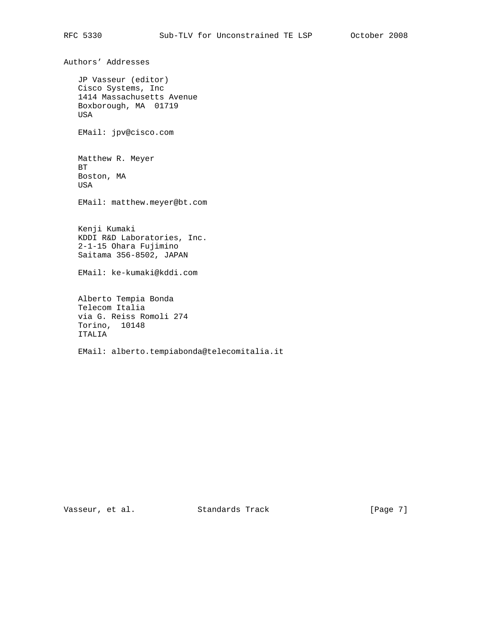Authors' Addresses JP Vasseur (editor) Cisco Systems, Inc 1414 Massachusetts Avenue Boxborough, MA 01719 USA EMail: jpv@cisco.com Matthew R. Meyer BT Boston, MA USA EMail: matthew.meyer@bt.com Kenji Kumaki KDDI R&D Laboratories, Inc. 2-1-15 Ohara Fujimino Saitama 356-8502, JAPAN EMail: ke-kumaki@kddi.com Alberto Tempia Bonda Telecom Italia via G. Reiss Romoli 274 Torino, 10148 ITALIA EMail: alberto.tempiabonda@telecomitalia.it

Vasseur, et al. Standards Track [Page 7]